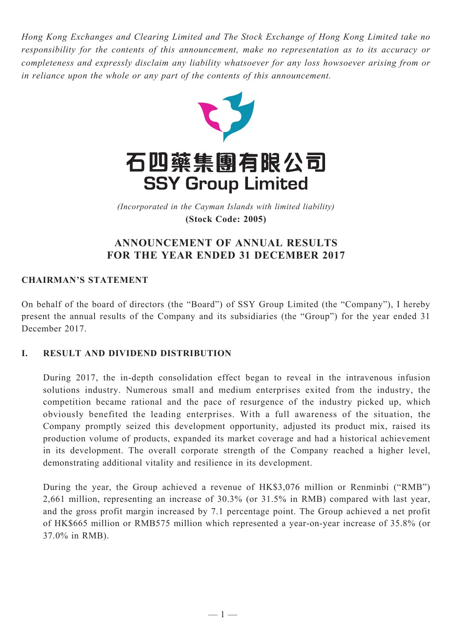*Hong Kong Exchanges and Clearing Limited and The Stock Exchange of Hong Kong Limited take no responsibility for the contents of this announcement, make no representation as to its accuracy or completeness and expressly disclaim any liability whatsoever for any loss howsoever arising from or in reliance upon the whole or any part of the contents of this announcement.*



(Incorporated in the Cayman Islands with limited liability) *(Incorporated in the Cayman Islands with limited liability)* **(Stock Code: 2005) (Stock Code: 2005)**

# **ANNOUNCEMENT OF ANNUAL RESULTS FOR THE YEAR ENDED 31 DECEMBER 2017**

# **CHAIRMAN'S STATEMENT**

On behalf of the board of directors (the "Board") of SSY Group Limited (the "Company"), I hereby present the annual results of the Company and its subsidiaries (the "Group") for the year ended 31 December 2017.

# **I. RESULT AND DIVIDEND DISTRIBUTION**

During 2017, the in-depth consolidation effect began to reveal in the intravenous infusion solutions industry. Numerous small and medium enterprises exited from the industry, the competition became rational and the pace of resurgence of the industry picked up, which obviously benefited the leading enterprises. With a full awareness of the situation, the Company promptly seized this development opportunity, adjusted its product mix, raised its production volume of products, expanded its market coverage and had a historical achievement in its development. The overall corporate strength of the Company reached a higher level, demonstrating additional vitality and resilience in its development.

During the year, the Group achieved a revenue of HK\$3,076 million or Renminbi ("RMB") 2,661 million, representing an increase of 30.3% (or 31.5% in RMB) compared with last year, and the gross profit margin increased by 7.1 percentage point. The Group achieved a net profit of HK\$665 million or RMB575 million which represented a year-on-year increase of 35.8% (or 37.0% in RMB).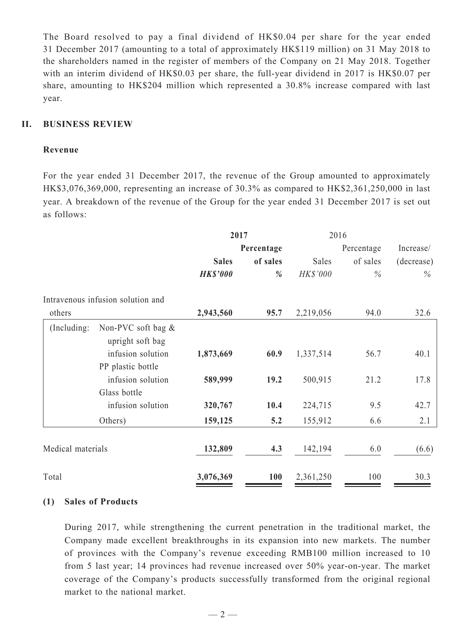The Board resolved to pay a final dividend of HK\$0.04 per share for the year ended 31 December 2017 (amounting to a total of approximately HK\$119 million) on 31 May 2018 to the shareholders named in the register of members of the Company on 21 May 2018. Together with an interim dividend of HK\$0.03 per share, the full-year dividend in 2017 is HK\$0.07 per share, amounting to HK\$204 million which represented a 30.8% increase compared with last year.

### **II. BUSINESS REVIEW**

### **Revenue**

For the year ended 31 December 2017, the revenue of the Group amounted to approximately HK\$3,076,369,000, representing an increase of 30.3% as compared to HK\$2,361,250,000 in last year. A breakdown of the revenue of the Group for the year ended 31 December 2017 is set out as follows:

|                   |                                           | 2017            |            | 2016            |            |               |  |
|-------------------|-------------------------------------------|-----------------|------------|-----------------|------------|---------------|--|
|                   |                                           | Percentage      |            |                 | Percentage | Increase/     |  |
|                   |                                           | <b>Sales</b>    | of sales   | Sales           | of sales   | (decrease)    |  |
|                   |                                           | <b>HK\$'000</b> | %          | <b>HK\$'000</b> | $\%$       | $\frac{0}{0}$ |  |
|                   | Intravenous infusion solution and         |                 |            |                 |            |               |  |
| others            |                                           | 2,943,560       | 95.7       | 2,219,056       | 94.0       | 32.6          |  |
| (Including:       | Non-PVC soft bag $\&$<br>upright soft bag |                 |            |                 |            |               |  |
|                   | infusion solution                         | 1,873,669       | 60.9       | 1,337,514       | 56.7       | 40.1          |  |
|                   | PP plastic bottle                         |                 |            |                 |            |               |  |
|                   | infusion solution                         | 589,999         | 19.2       | 500,915         | 21.2       | 17.8          |  |
|                   | Glass bottle                              |                 |            |                 |            |               |  |
|                   | infusion solution                         | 320,767         | 10.4       | 224,715         | 9.5        | 42.7          |  |
|                   | Others)                                   | 159,125         | 5.2        | 155,912         | 6.6        | 2.1           |  |
| Medical materials |                                           | 132,809         | 4.3        | 142,194         | 6.0        | (6.6)         |  |
| Total             |                                           | 3,076,369       | <b>100</b> | 2,361,250       | 100        | 30.3          |  |

### **(1) Sales of Products**

During 2017, while strengthening the current penetration in the traditional market, the Company made excellent breakthroughs in its expansion into new markets. The number of provinces with the Company's revenue exceeding RMB100 million increased to 10 from 5 last year; 14 provinces had revenue increased over 50% year-on-year. The market coverage of the Company's products successfully transformed from the original regional market to the national market.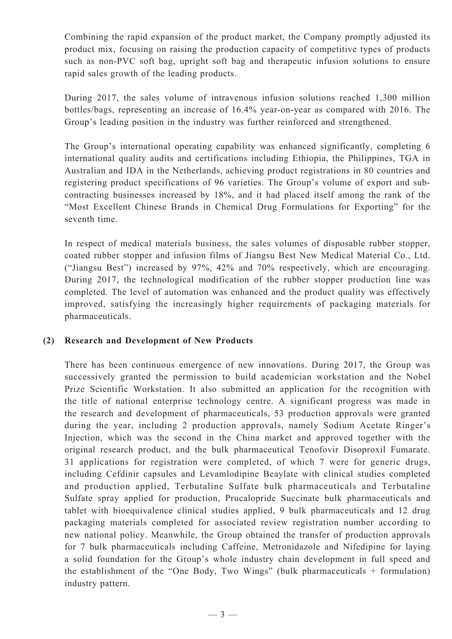Combining the rapid expansion of the product market, the Company promptly adjusted its product mix, focusing on raising the production capacity of competitive types of products such as non-PVC soft bag, upright soft bag and therapeutic infusion solutions to ensure rapid sales growth of the leading products.

During 2017, the sales volume of intravenous infusion solutions reached 1,300 million bottles/bags, representing an increase of 16.4% year-on-year as compared with 2016. The Group's leading position in the industry was further reinforced and strengthened.

The Group's international operating capability was enhanced significantly, completing 6 international quality audits and certifications including Ethiopia, the Philippines, TGA in Australian and IDA in the Netherlands, achieving product registrations in 80 countries and registering product specifications of 96 varieties. The Group's volume of export and subcontracting businesses increased by 18%, and it had placed itself among the rank of the "Most Excellent Chinese Brands in Chemical Drug Formulations for Exporting" for the seventh time.

In respect of medical materials business, the sales volumes of disposable rubber stopper, coated rubber stopper and infusion films of Jiangsu Best New Medical Material Co., Ltd. ("Jiangsu Best") increased by 97%, 42% and 70% respectively, which are encouraging. During 2017, the technological modification of the rubber stopper production line was completed. The level of automation was enhanced and the product quality was effectively improved, satisfying the increasingly higher requirements of packaging materials for pharmaceuticals.

### **(2) Research and Development of New Products**

There has been continuous emergence of new innovations. During 2017, the Group was successively granted the permission to build academician workstation and the Nobel Prize Scientific Workstation. It also submitted an application for the recognition with the title of national enterprise technology centre. A significant progress was made in the research and development of pharmaceuticals, 53 production approvals were granted during the year, including 2 production approvals, namely Sodium Acetate Ringer's Injection, which was the second in the China market and approved together with the original research product, and the bulk pharmaceutical Tenofovir Disoproxil Fumarate. 31 applications for registration were completed, of which 7 were for generic drugs, including Cefdinir capsules and Levamlodipine Beaylate with clinical studies completed and production applied, Terbutaline Sulfate bulk pharmaceuticals and Terbutaline Sulfate spray applied for production, Prucalopride Succinate bulk pharmaceuticals and tablet with bioequivalence clinical studies applied, 9 bulk pharmaceuticals and 12 drug packaging materials completed for associated review registration number according to new national policy. Meanwhile, the Group obtained the transfer of production approvals for 7 bulk pharmaceuticals including Caffeine, Metronidazole and Nifedipine for laying a solid foundation for the Group's whole industry chain development in full speed and the establishment of the "One Body, Two Wings" (bulk pharmaceuticals + formulation) industry pattern.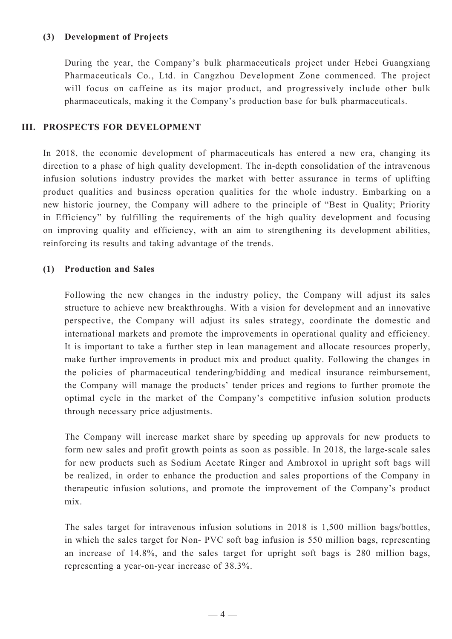## **(3) Development of Projects**

During the year, the Company's bulk pharmaceuticals project under Hebei Guangxiang Pharmaceuticals Co., Ltd. in Cangzhou Development Zone commenced. The project will focus on caffeine as its major product, and progressively include other bulk pharmaceuticals, making it the Company's production base for bulk pharmaceuticals.

### **III. PROSPECTS FOR DEVELOPMENT**

In 2018, the economic development of pharmaceuticals has entered a new era, changing its direction to a phase of high quality development. The in-depth consolidation of the intravenous infusion solutions industry provides the market with better assurance in terms of uplifting product qualities and business operation qualities for the whole industry. Embarking on a new historic journey, the Company will adhere to the principle of "Best in Quality; Priority in Efficiency" by fulfilling the requirements of the high quality development and focusing on improving quality and efficiency, with an aim to strengthening its development abilities, reinforcing its results and taking advantage of the trends.

# **(1) Production and Sales**

Following the new changes in the industry policy, the Company will adjust its sales structure to achieve new breakthroughs. With a vision for development and an innovative perspective, the Company will adjust its sales strategy, coordinate the domestic and international markets and promote the improvements in operational quality and efficiency. It is important to take a further step in lean management and allocate resources properly, make further improvements in product mix and product quality. Following the changes in the policies of pharmaceutical tendering/bidding and medical insurance reimbursement, the Company will manage the products' tender prices and regions to further promote the optimal cycle in the market of the Company's competitive infusion solution products through necessary price adjustments.

The Company will increase market share by speeding up approvals for new products to form new sales and profit growth points as soon as possible. In 2018, the large-scale sales for new products such as Sodium Acetate Ringer and Ambroxol in upright soft bags will be realized, in order to enhance the production and sales proportions of the Company in therapeutic infusion solutions, and promote the improvement of the Company's product mix.

The sales target for intravenous infusion solutions in 2018 is 1,500 million bags/bottles, in which the sales target for Non- PVC soft bag infusion is 550 million bags, representing an increase of 14.8%, and the sales target for upright soft bags is 280 million bags, representing a year-on-year increase of 38.3%.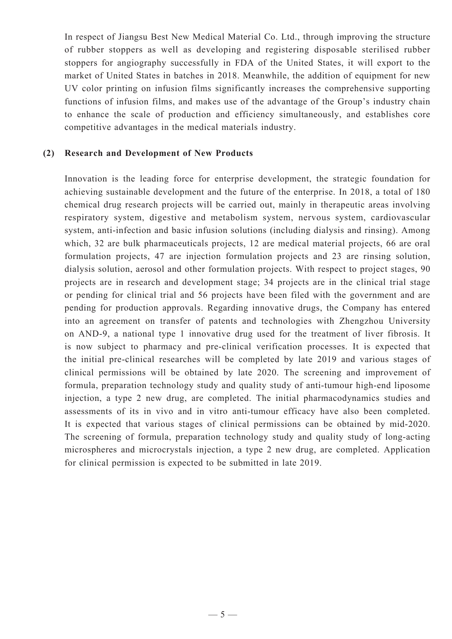In respect of Jiangsu Best New Medical Material Co. Ltd., through improving the structure of rubber stoppers as well as developing and registering disposable sterilised rubber stoppers for angiography successfully in FDA of the United States, it will export to the market of United States in batches in 2018. Meanwhile, the addition of equipment for new UV color printing on infusion films significantly increases the comprehensive supporting functions of infusion films, and makes use of the advantage of the Group's industry chain to enhance the scale of production and efficiency simultaneously, and establishes core competitive advantages in the medical materials industry.

#### **(2) Research and Development of New Products**

Innovation is the leading force for enterprise development, the strategic foundation for achieving sustainable development and the future of the enterprise. In 2018, a total of 180 chemical drug research projects will be carried out, mainly in therapeutic areas involving respiratory system, digestive and metabolism system, nervous system, cardiovascular system, anti-infection and basic infusion solutions (including dialysis and rinsing). Among which, 32 are bulk pharmaceuticals projects, 12 are medical material projects, 66 are oral formulation projects, 47 are injection formulation projects and 23 are rinsing solution, dialysis solution, aerosol and other formulation projects. With respect to project stages, 90 projects are in research and development stage; 34 projects are in the clinical trial stage or pending for clinical trial and 56 projects have been filed with the government and are pending for production approvals. Regarding innovative drugs, the Company has entered into an agreement on transfer of patents and technologies with Zhengzhou University on AND-9, a national type 1 innovative drug used for the treatment of liver fibrosis. It is now subject to pharmacy and pre-clinical verification processes. It is expected that the initial pre-clinical researches will be completed by late 2019 and various stages of clinical permissions will be obtained by late 2020. The screening and improvement of formula, preparation technology study and quality study of anti-tumour high-end liposome injection, a type 2 new drug, are completed. The initial pharmacodynamics studies and assessments of its in vivo and in vitro anti-tumour efficacy have also been completed. It is expected that various stages of clinical permissions can be obtained by mid-2020. The screening of formula, preparation technology study and quality study of long-acting microspheres and microcrystals injection, a type 2 new drug, are completed. Application for clinical permission is expected to be submitted in late 2019.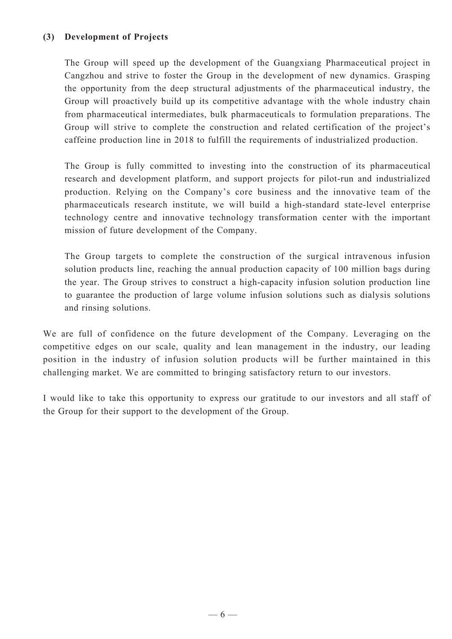# **(3) Development of Projects**

The Group will speed up the development of the Guangxiang Pharmaceutical project in Cangzhou and strive to foster the Group in the development of new dynamics. Grasping the opportunity from the deep structural adjustments of the pharmaceutical industry, the Group will proactively build up its competitive advantage with the whole industry chain from pharmaceutical intermediates, bulk pharmaceuticals to formulation preparations. The Group will strive to complete the construction and related certification of the project's caffeine production line in 2018 to fulfill the requirements of industrialized production.

The Group is fully committed to investing into the construction of its pharmaceutical research and development platform, and support projects for pilot-run and industrialized production. Relying on the Company's core business and the innovative team of the pharmaceuticals research institute, we will build a high-standard state-level enterprise technology centre and innovative technology transformation center with the important mission of future development of the Company.

The Group targets to complete the construction of the surgical intravenous infusion solution products line, reaching the annual production capacity of 100 million bags during the year. The Group strives to construct a high-capacity infusion solution production line to guarantee the production of large volume infusion solutions such as dialysis solutions and rinsing solutions.

We are full of confidence on the future development of the Company. Leveraging on the competitive edges on our scale, quality and lean management in the industry, our leading position in the industry of infusion solution products will be further maintained in this challenging market. We are committed to bringing satisfactory return to our investors.

I would like to take this opportunity to express our gratitude to our investors and all staff of the Group for their support to the development of the Group.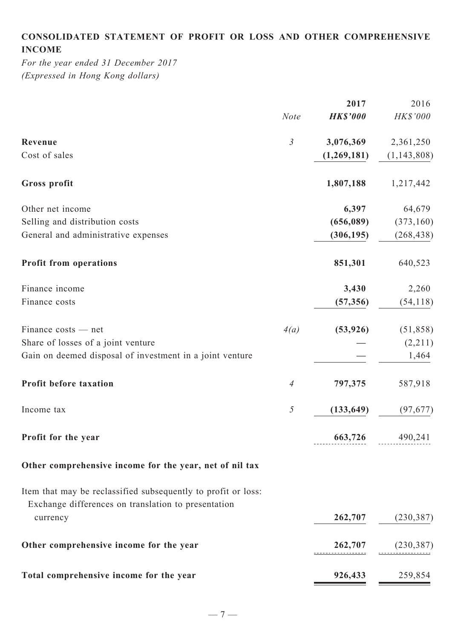# **Consolidated statement of profit or loss and other comprehensive income**

*For the year ended 31 December 2017 (Expressed in Hong Kong dollars)*

|                                                                                                                      |                | 2017            | 2016                   |
|----------------------------------------------------------------------------------------------------------------------|----------------|-----------------|------------------------|
|                                                                                                                      | <b>Note</b>    | <b>HK\$'000</b> | HK\$'000               |
| Revenue                                                                                                              | $\mathfrak{Z}$ | 3,076,369       | 2,361,250              |
| Cost of sales                                                                                                        |                | (1,269,181)     | (1, 143, 808)          |
| Gross profit                                                                                                         |                | 1,807,188       | 1,217,442              |
| Other net income                                                                                                     |                | 6,397           | 64,679                 |
| Selling and distribution costs                                                                                       |                | (656,089)       | (373, 160)             |
| General and administrative expenses                                                                                  |                | (306, 195)      | (268, 438)             |
| <b>Profit from operations</b>                                                                                        |                | 851,301         | 640,523                |
| Finance income                                                                                                       |                | 3,430           | 2,260                  |
| Finance costs                                                                                                        |                | (57, 356)       | (54, 118)              |
| Finance costs — net                                                                                                  | 4(a)           | (53, 926)       | (51, 858)              |
| Share of losses of a joint venture                                                                                   |                |                 | (2,211)                |
| Gain on deemed disposal of investment in a joint venture                                                             |                |                 | 1,464                  |
| Profit before taxation                                                                                               | $\overline{A}$ | 797,375         | 587,918                |
| Income tax                                                                                                           | 5              | (133, 649)      | (97, 677)              |
| Profit for the year                                                                                                  |                |                 | <b>663,726</b> 490,241 |
| Other comprehensive income for the year, net of nil tax                                                              |                |                 |                        |
| Item that may be reclassified subsequently to profit or loss:<br>Exchange differences on translation to presentation |                |                 |                        |
| currency                                                                                                             |                |                 | 262,707 (230,387)      |
| Other comprehensive income for the year                                                                              |                |                 | $262,707$ (230,387)    |
| Total comprehensive income for the year                                                                              |                | 926,433         | 259,854                |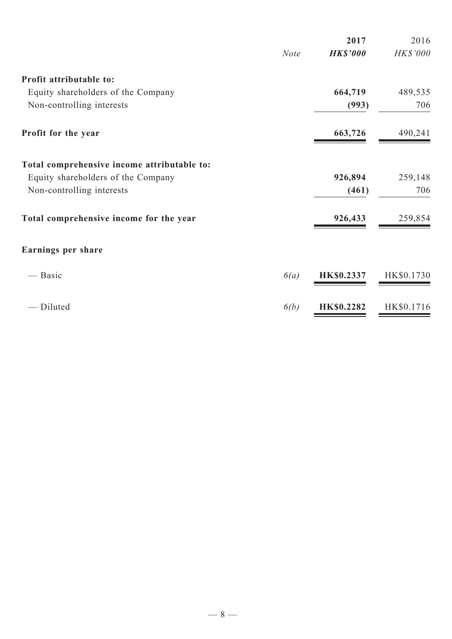|                                             |             | 2017              | 2016            |
|---------------------------------------------|-------------|-------------------|-----------------|
|                                             | <b>Note</b> | <b>HK\$'000</b>   | <b>HK\$'000</b> |
| Profit attributable to:                     |             |                   |                 |
| Equity shareholders of the Company          |             | 664,719           | 489,535         |
| Non-controlling interests                   |             | (993)             | 706             |
| Profit for the year                         |             | 663,726           | 490,241         |
| Total comprehensive income attributable to: |             |                   |                 |
| Equity shareholders of the Company          |             | 926,894           | 259,148         |
| Non-controlling interests                   |             | (461)             | 706             |
| Total comprehensive income for the year     |             | 926,433           | 259,854         |
| Earnings per share                          |             |                   |                 |
| — Basic                                     | 6(a)        | HK\$0.2337        | HK\$0.1730      |
| Diluted                                     | 6(b)        | <b>HK\$0.2282</b> | HK\$0.1716      |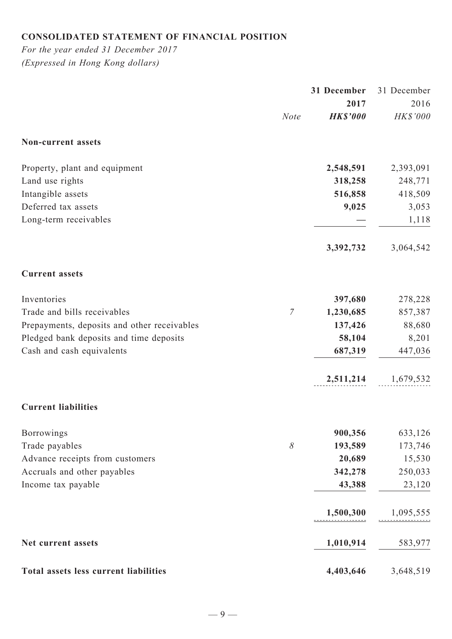# **Consolidated statement of financial position**

*For the year ended 31 December 2017 (Expressed in Hong Kong dollars)*

|                                             |                | 31 December             | 31 December      |
|---------------------------------------------|----------------|-------------------------|------------------|
|                                             | <b>Note</b>    | 2017<br><b>HK\$'000</b> | 2016<br>HK\$'000 |
| Non-current assets                          |                |                         |                  |
| Property, plant and equipment               |                | 2,548,591               | 2,393,091        |
| Land use rights                             |                | 318,258                 | 248,771          |
| Intangible assets                           |                | 516,858                 | 418,509          |
| Deferred tax assets                         |                | 9,025                   | 3,053            |
| Long-term receivables                       |                |                         | 1,118            |
|                                             |                | 3,392,732               | 3,064,542        |
| <b>Current assets</b>                       |                |                         |                  |
| Inventories                                 |                | 397,680                 | 278,228          |
| Trade and bills receivables                 | $\overline{7}$ | 1,230,685               | 857,387          |
| Prepayments, deposits and other receivables |                | 137,426                 | 88,680           |
| Pledged bank deposits and time deposits     |                | 58,104                  | 8,201            |
| Cash and cash equivalents                   |                | 687,319                 | 447,036          |
|                                             |                | 2,511,214               | 1,679,532        |
| <b>Current liabilities</b>                  |                |                         |                  |
| Borrowings                                  |                | 900,356                 | 633,126          |
| Trade payables                              | $\delta$       | 193,589                 | 173,746          |
| Advance receipts from customers             |                | 20,689                  | 15,530           |
| Accruals and other payables                 |                | 342,278                 | 250,033          |
| Income tax payable                          |                | 43,388                  | 23,120           |
|                                             |                | 1,500,300               | 1,095,555        |
| Net current assets                          |                | 1,010,914               | 583,977          |
| Total assets less current liabilities       |                | 4,403,646               | 3,648,519        |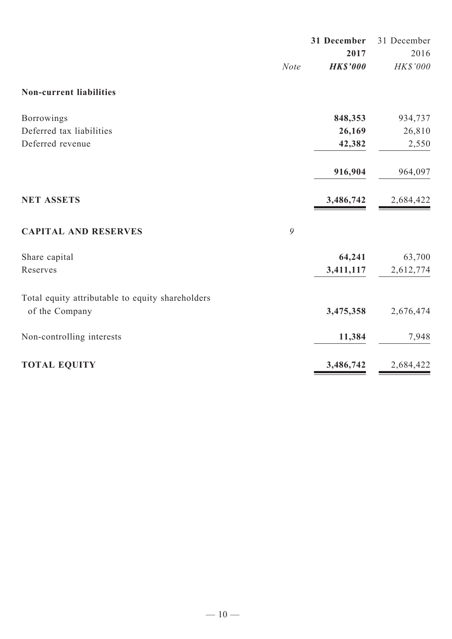|                                                  |      | 31 December     | 31 December |
|--------------------------------------------------|------|-----------------|-------------|
|                                                  |      | 2017            | 2016        |
|                                                  | Note | <b>HK\$'000</b> | HK\$'000    |
| <b>Non-current liabilities</b>                   |      |                 |             |
| Borrowings                                       |      | 848,353         | 934,737     |
| Deferred tax liabilities                         |      | 26,169          | 26,810      |
| Deferred revenue                                 |      | 42,382          | 2,550       |
|                                                  |      | 916,904         | 964,097     |
| <b>NET ASSETS</b>                                |      | 3,486,742       | 2,684,422   |
| <b>CAPITAL AND RESERVES</b>                      | 9    |                 |             |
| Share capital                                    |      | 64,241          | 63,700      |
| Reserves                                         |      | 3,411,117       | 2,612,774   |
| Total equity attributable to equity shareholders |      |                 |             |
| of the Company                                   |      | 3,475,358       | 2,676,474   |
| Non-controlling interests                        |      | 11,384          | 7,948       |
| <b>TOTAL EQUITY</b>                              |      | 3,486,742       | 2,684,422   |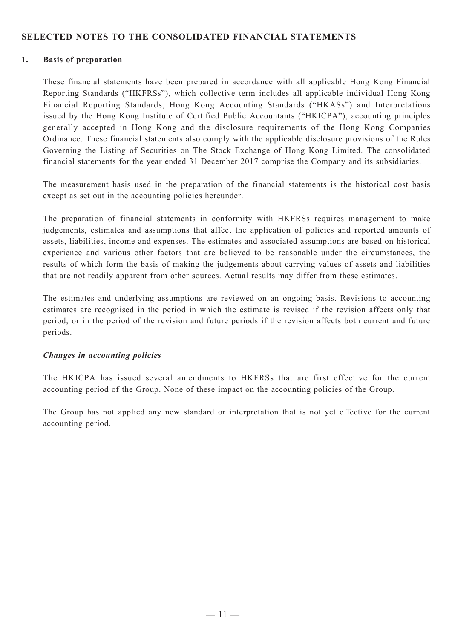### **SELECTED NOTES TO THE CONSOLIDATED FINANCIAL STATEMENTS**

#### **1. Basis of preparation**

These financial statements have been prepared in accordance with all applicable Hong Kong Financial Reporting Standards ("HKFRSs"), which collective term includes all applicable individual Hong Kong Financial Reporting Standards, Hong Kong Accounting Standards ("HKASs") and Interpretations issued by the Hong Kong Institute of Certified Public Accountants ("HKICPA"), accounting principles generally accepted in Hong Kong and the disclosure requirements of the Hong Kong Companies Ordinance. These financial statements also comply with the applicable disclosure provisions of the Rules Governing the Listing of Securities on The Stock Exchange of Hong Kong Limited. The consolidated financial statements for the year ended 31 December 2017 comprise the Company and its subsidiaries.

The measurement basis used in the preparation of the financial statements is the historical cost basis except as set out in the accounting policies hereunder.

The preparation of financial statements in conformity with HKFRSs requires management to make judgements, estimates and assumptions that affect the application of policies and reported amounts of assets, liabilities, income and expenses. The estimates and associated assumptions are based on historical experience and various other factors that are believed to be reasonable under the circumstances, the results of which form the basis of making the judgements about carrying values of assets and liabilities that are not readily apparent from other sources. Actual results may differ from these estimates.

The estimates and underlying assumptions are reviewed on an ongoing basis. Revisions to accounting estimates are recognised in the period in which the estimate is revised if the revision affects only that period, or in the period of the revision and future periods if the revision affects both current and future periods.

### *Changes in accounting policies*

The HKICPA has issued several amendments to HKFRSs that are first effective for the current accounting period of the Group. None of these impact on the accounting policies of the Group.

The Group has not applied any new standard or interpretation that is not yet effective for the current accounting period.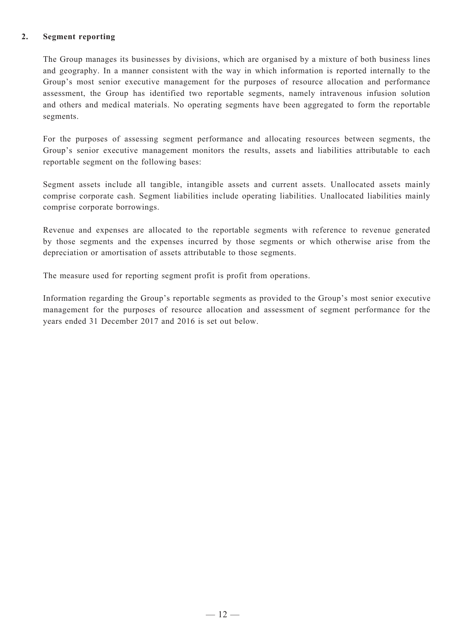### **2. Segment reporting**

The Group manages its businesses by divisions, which are organised by a mixture of both business lines and geography. In a manner consistent with the way in which information is reported internally to the Group's most senior executive management for the purposes of resource allocation and performance assessment, the Group has identified two reportable segments, namely intravenous infusion solution and others and medical materials. No operating segments have been aggregated to form the reportable segments.

For the purposes of assessing segment performance and allocating resources between segments, the Group's senior executive management monitors the results, assets and liabilities attributable to each reportable segment on the following bases:

Segment assets include all tangible, intangible assets and current assets. Unallocated assets mainly comprise corporate cash. Segment liabilities include operating liabilities. Unallocated liabilities mainly comprise corporate borrowings.

Revenue and expenses are allocated to the reportable segments with reference to revenue generated by those segments and the expenses incurred by those segments or which otherwise arise from the depreciation or amortisation of assets attributable to those segments.

The measure used for reporting segment profit is profit from operations.

Information regarding the Group's reportable segments as provided to the Group's most senior executive management for the purposes of resource allocation and assessment of segment performance for the years ended 31 December 2017 and 2016 is set out below.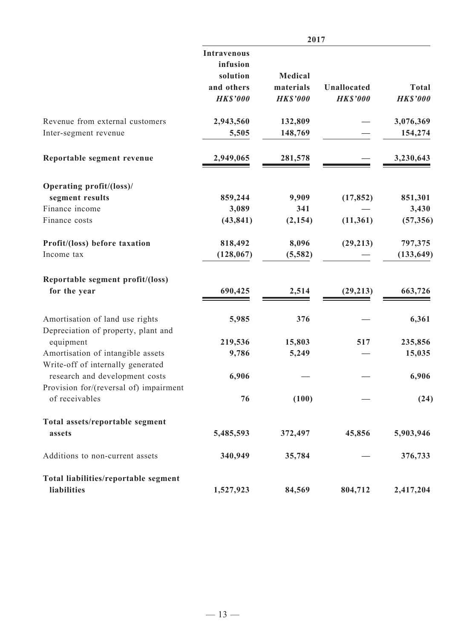|                                                                        | 2017               |                 |                 |                 |
|------------------------------------------------------------------------|--------------------|-----------------|-----------------|-----------------|
|                                                                        | <b>Intravenous</b> |                 |                 |                 |
|                                                                        | infusion           |                 |                 |                 |
|                                                                        | solution           | Medical         |                 |                 |
|                                                                        | and others         | materials       | Unallocated     | <b>Total</b>    |
|                                                                        | <b>HK\$'000</b>    | <b>HK\$'000</b> | <b>HK\$'000</b> | <b>HK\$'000</b> |
| Revenue from external customers                                        | 2,943,560          | 132,809         |                 | 3,076,369       |
| Inter-segment revenue                                                  | 5,505              | 148,769         |                 | 154,274         |
| Reportable segment revenue                                             | 2,949,065          | 281,578         |                 | 3,230,643       |
| Operating profit/(loss)/                                               |                    |                 |                 |                 |
| segment results                                                        | 859,244            | 9,909           | (17, 852)       | 851,301         |
| Finance income                                                         | 3,089              | 341             |                 | 3,430           |
| Finance costs                                                          | (43, 841)          | (2, 154)        | (11, 361)       | (57, 356)       |
| Profit/(loss) before taxation                                          | 818,492            | 8,096           | (29, 213)       | 797,375         |
| Income tax                                                             | (128, 067)         | (5, 582)        |                 | (133, 649)      |
| Reportable segment profit/(loss)                                       |                    |                 |                 |                 |
| for the year                                                           | 690,425            | 2,514           | (29, 213)       | 663,726         |
| Amortisation of land use rights                                        | 5,985              | 376             |                 | 6,361           |
| Depreciation of property, plant and                                    |                    |                 |                 |                 |
| equipment                                                              | 219,536            | 15,803          | 517             | 235,856         |
| Amortisation of intangible assets<br>Write-off of internally generated | 9,786              | 5,249           |                 | 15,035          |
| research and development costs                                         | 6,906              |                 |                 | 6,906           |
| Provision for/(reversal of) impairment                                 |                    |                 |                 |                 |
| of receivables                                                         | 76                 | (100)           |                 | (24)            |
| Total assets/reportable segment                                        |                    |                 |                 |                 |
| assets                                                                 | 5,485,593          | 372,497         | 45,856          | 5,903,946       |
| Additions to non-current assets                                        | 340,949            | 35,784          |                 | 376,733         |
| Total liabilities/reportable segment                                   |                    |                 |                 |                 |
| liabilities                                                            | 1,527,923          | 84,569          | 804,712         | 2,417,204       |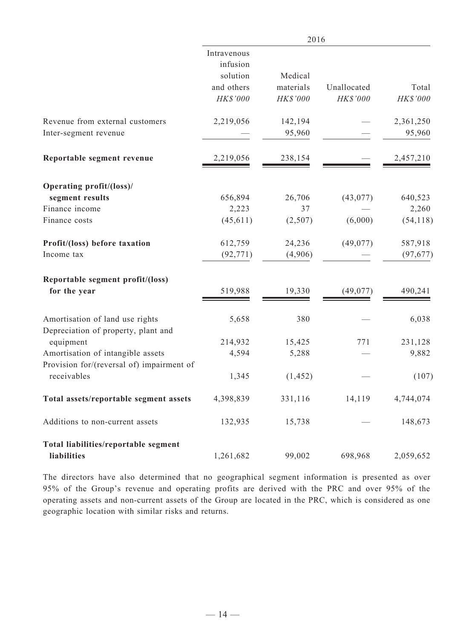|                                                                        | 2016                                                          |                                  |                         |                     |
|------------------------------------------------------------------------|---------------------------------------------------------------|----------------------------------|-------------------------|---------------------|
|                                                                        | Intravenous<br>infusion<br>solution<br>and others<br>HK\$'000 | Medical<br>materials<br>HK\$'000 | Unallocated<br>HK\$'000 | Total<br>HK\$'000   |
| Revenue from external customers<br>Inter-segment revenue               | 2,219,056                                                     | 142,194<br>95,960                |                         | 2,361,250<br>95,960 |
| Reportable segment revenue                                             | 2,219,056                                                     | 238,154                          |                         | 2,457,210           |
| Operating profit/(loss)/                                               |                                                               |                                  |                         |                     |
| segment results                                                        | 656,894                                                       | 26,706                           | (43, 077)               | 640,523             |
| Finance income                                                         | 2,223                                                         | 37                               |                         | 2,260               |
| Finance costs                                                          | (45, 611)                                                     | (2,507)                          | (6,000)                 | (54, 118)           |
| Profit/(loss) before taxation                                          | 612,759                                                       | 24,236                           | (49,077)                | 587,918             |
| Income tax                                                             | (92, 771)                                                     | (4,906)                          |                         | (97, 677)           |
| Reportable segment profit/(loss)                                       |                                                               |                                  |                         |                     |
| for the year                                                           | 519,988                                                       | 19,330                           | (49,077)                | 490,241             |
| Amortisation of land use rights<br>Depreciation of property, plant and | 5,658                                                         | 380                              |                         | 6,038               |
| equipment                                                              | 214,932                                                       | 15,425                           | 771                     | 231,128             |
| Amortisation of intangible assets                                      | 4,594                                                         | 5,288                            |                         | 9,882               |
| Provision for/(reversal of) impairment of<br>receivables               | 1,345                                                         | (1, 452)                         |                         | (107)               |
| Total assets/reportable segment assets                                 | 4,398,839                                                     | 331,116                          | 14,119                  | 4,744,074           |
| Additions to non-current assets                                        | 132,935                                                       | 15,738                           |                         | 148,673             |
| Total liabilities/reportable segment                                   |                                                               |                                  |                         |                     |
| liabilities                                                            | 1,261,682                                                     | 99,002                           | 698,968                 | 2,059,652           |

The directors have also determined that no geographical segment information is presented as over 95% of the Group's revenue and operating profits are derived with the PRC and over 95% of the operating assets and non-current assets of the Group are located in the PRC, which is considered as one geographic location with similar risks and returns.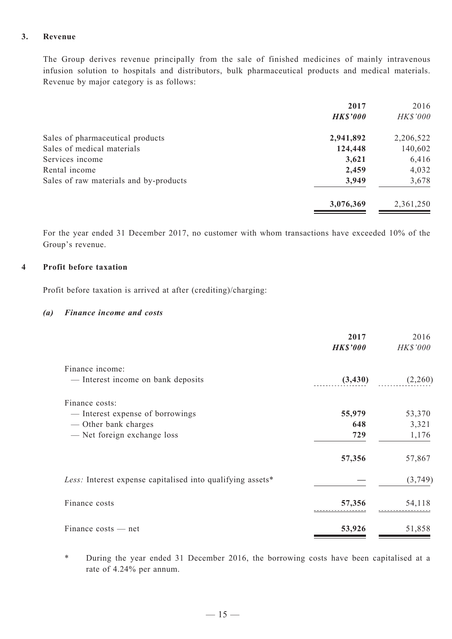### **3. Revenue**

The Group derives revenue principally from the sale of finished medicines of mainly intravenous infusion solution to hospitals and distributors, bulk pharmaceutical products and medical materials. Revenue by major category is as follows:

| 2017            | 2016            |
|-----------------|-----------------|
| <b>HK\$'000</b> | <b>HK\$'000</b> |
| 2,941,892       | 2,206,522       |
| 124,448         | 140,602         |
| 3,621           | 6,416           |
| 2,459           | 4,032           |
| 3,949           | 3,678           |
| 3,076,369       | 2,361,250       |
|                 |                 |

For the year ended 31 December 2017, no customer with whom transactions have exceeded 10% of the Group's revenue.

#### **4 Profit before taxation**

Profit before taxation is arrived at after (crediting)/charging:

### *(a) Finance income and costs*

|                                                            | 2017<br><b>HK\$'000</b> | 2016<br>HK\$'000 |
|------------------------------------------------------------|-------------------------|------------------|
| Finance income:                                            |                         |                  |
| — Interest income on bank deposits                         | (3, 430)                | (2,260)          |
| Finance costs:                                             |                         |                  |
| — Interest expense of borrowings                           | 55,979                  | 53,370           |
| — Other bank charges                                       | 648                     | 3,321            |
| - Net foreign exchange loss                                | 729                     | 1,176            |
|                                                            | 57,356                  | 57,867           |
| Less: Interest expense capitalised into qualifying assets* |                         | (3,749)          |
| Finance costs                                              | 57,356                  | 54,118           |
| Finance costs — net                                        | 53,926                  | 51,858           |

\* During the year ended 31 December 2016, the borrowing costs have been capitalised at a rate of 4.24% per annum.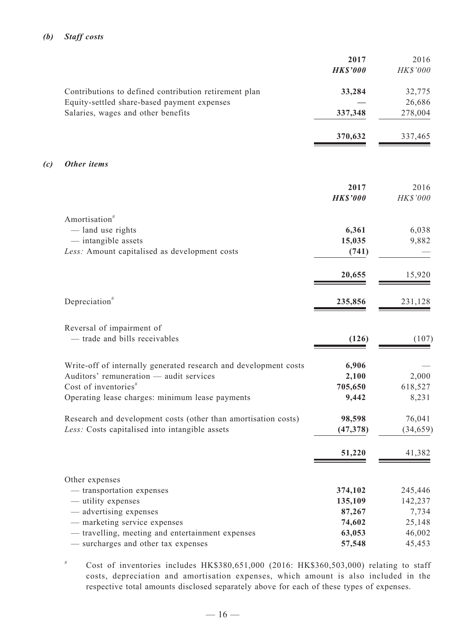### *(b) Staff costs*

|     |                                                                                   | 2017<br><b>HK\$'000</b> | 2016<br>HK\$'000  |
|-----|-----------------------------------------------------------------------------------|-------------------------|-------------------|
|     | Contributions to defined contribution retirement plan                             | 33,284                  | 32,775            |
|     | Equity-settled share-based payment expenses<br>Salaries, wages and other benefits | 337,348                 | 26,686<br>278,004 |
|     |                                                                                   | 370,632                 | 337,465           |
| (c) | Other items                                                                       |                         |                   |
|     |                                                                                   | 2017<br><b>HK\$'000</b> | 2016<br>HK\$'000  |
|     | Amortisation <sup>#</sup>                                                         |                         |                   |
|     | - land use rights<br>- intangible assets                                          | 6,361<br>15,035         | 6,038<br>9,882    |
|     | Less: Amount capitalised as development costs                                     | (741)                   |                   |
|     |                                                                                   | 20,655                  | 15,920            |
|     | Depreciation <sup>#</sup>                                                         | 235,856                 | 231,128           |
|     | Reversal of impairment of                                                         |                         |                   |
|     | - trade and bills receivables                                                     | (126)                   | (107)             |
|     | Write-off of internally generated research and development costs                  | 6,906                   |                   |
|     | Auditors' remuneration - audit services<br>Cost of inventories $*$                | 2,100                   | 2,000             |
|     | Operating lease charges: minimum lease payments                                   | 705,650<br>9,442        | 618,527<br>8,231  |
|     | Research and development costs (other than amortisation costs)                    | 98,598                  | 76,041            |
|     | Less: Costs capitalised into intangible assets                                    | (47, 378)               | (34, 659)         |
|     |                                                                                   | 51,220                  | 41,382            |
|     | Other expenses                                                                    |                         |                   |
|     | - transportation expenses                                                         | 374,102                 | 245,446           |
|     | — utility expenses                                                                | 135,109                 | 142,237           |
|     | — advertising expenses<br>- marketing service expenses                            | 87,267<br>74,602        | 7,734<br>25,148   |
|     | - travelling, meeting and entertainment expenses                                  | 63,053                  | 46,002            |
|     | - surcharges and other tax expenses                                               | 57,548                  | 45,453            |

# Cost of inventories includes HK\$380,651,000 (2016: HK\$360,503,000) relating to staff costs, depreciation and amortisation expenses, which amount is also included in the respective total amounts disclosed separately above for each of these types of expenses.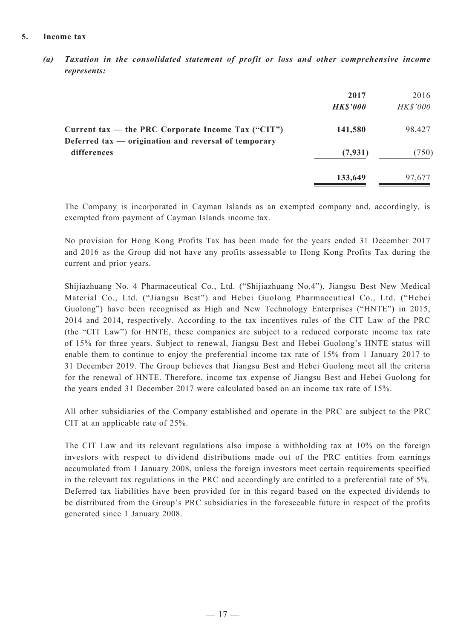#### **5. Income tax**

*(a) Taxation in the consolidated statement of profit or loss and other comprehensive income represents:*

|                                                                     | 2017<br><b>HK\$'000</b> | 2016<br>HK\$'000 |
|---------------------------------------------------------------------|-------------------------|------------------|
| Current tax — the PRC Corporate Income Tax $("CIT")$                | 141,580                 | 98,427           |
| Deferred tax — origination and reversal of temporary<br>differences | (7, 931)                | (750)            |
|                                                                     | 133,649                 | 97,677           |

The Company is incorporated in Cayman Islands as an exempted company and, accordingly, is exempted from payment of Cayman Islands income tax.

No provision for Hong Kong Profits Tax has been made for the years ended 31 December 2017 and 2016 as the Group did not have any profits assessable to Hong Kong Profits Tax during the current and prior years.

Shijiazhuang No. 4 Pharmaceutical Co., Ltd. ("Shijiazhuang No.4"), Jiangsu Best New Medical Material Co., Ltd. ("Jiangsu Best") and Hebei Guolong Pharmaceutical Co., Ltd. ("Hebei Guolong") have been recognised as High and New Technology Enterprises ("HNTE") in 2015, 2014 and 2014, respectively. According to the tax incentives rules of the CIT Law of the PRC (the "CIT Law") for HNTE, these companies are subject to a reduced corporate income tax rate of 15% for three years. Subject to renewal, Jiangsu Best and Hebei Guolong's HNTE status will enable them to continue to enjoy the preferential income tax rate of 15% from 1 January 2017 to 31 December 2019. The Group believes that Jiangsu Best and Hebei Guolong meet all the criteria for the renewal of HNTE. Therefore, income tax expense of Jiangsu Best and Hebei Guolong for the years ended 31 December 2017 were calculated based on an income tax rate of 15%.

All other subsidiaries of the Company established and operate in the PRC are subject to the PRC CIT at an applicable rate of 25%.

The CIT Law and its relevant regulations also impose a withholding tax at 10% on the foreign investors with respect to dividend distributions made out of the PRC entities from earnings accumulated from 1 January 2008, unless the foreign investors meet certain requirements specified in the relevant tax regulations in the PRC and accordingly are entitled to a preferential rate of 5%. Deferred tax liabilities have been provided for in this regard based on the expected dividends to be distributed from the Group's PRC subsidiaries in the foreseeable future in respect of the profits generated since 1 January 2008.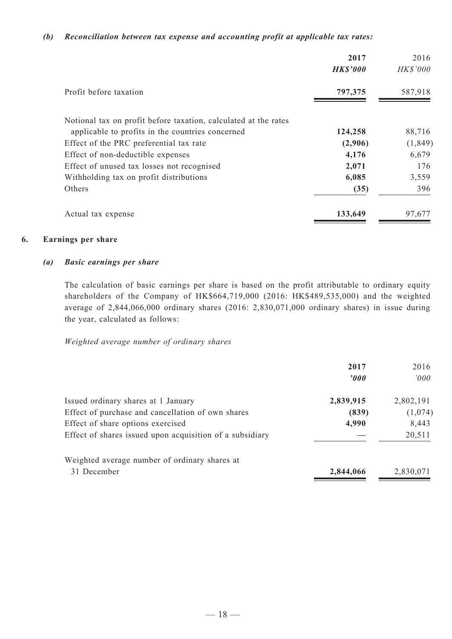#### *(b) Reconciliation between tax expense and accounting profit at applicable tax rates:*

|                                                                 | 2017<br><b>HK\$'000</b> | 2016<br><b>HK\$'000</b> |
|-----------------------------------------------------------------|-------------------------|-------------------------|
| Profit before taxation                                          | 797,375                 | 587,918                 |
| Notional tax on profit before taxation, calculated at the rates |                         |                         |
| applicable to profits in the countries concerned                | 124,258                 | 88,716                  |
| Effect of the PRC preferential tax rate                         | (2,906)                 | (1, 849)                |
| Effect of non-deductible expenses                               | 4,176                   | 6,679                   |
| Effect of unused tax losses not recognised                      | 2,071                   | 176                     |
| Withholding tax on profit distributions                         | 6,085                   | 3,559                   |
| Others                                                          | (35)                    | 396                     |
| Actual tax expense                                              | 133,649                 | 97,677                  |

#### **6. Earnings per share**

#### *(a) Basic earnings per share*

The calculation of basic earnings per share is based on the profit attributable to ordinary equity shareholders of the Company of HK\$664,719,000 (2016: HK\$489,535,000) and the weighted average of 2,844,066,000 ordinary shares (2016: 2,830,071,000 ordinary shares) in issue during the year, calculated as follows:

#### *Weighted average number of ordinary shares*

|                                                          | 2017<br>$\boldsymbol{\theta}$ | 2016<br>000' |
|----------------------------------------------------------|-------------------------------|--------------|
| Issued ordinary shares at 1 January                      | 2,839,915                     | 2,802,191    |
| Effect of purchase and cancellation of own shares        | (839)                         | (1,074)      |
| Effect of share options exercised                        | 4,990                         | 8,443        |
| Effect of shares issued upon acquisition of a subsidiary |                               | 20,511       |
| Weighted average number of ordinary shares at            |                               |              |
| 31 December                                              | 2,844,066                     | 2,830,071    |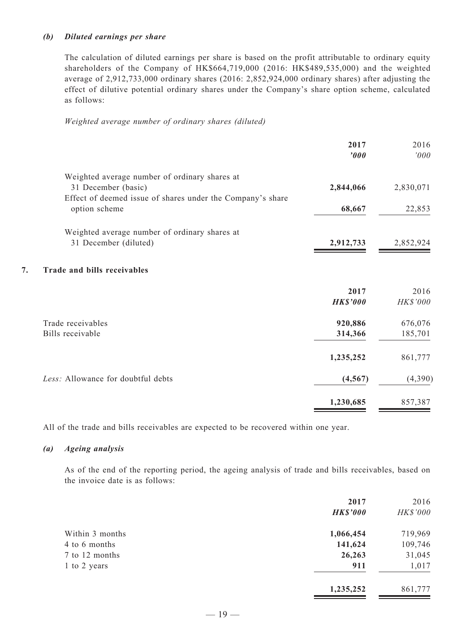### *(b) Diluted earnings per share*

The calculation of diluted earnings per share is based on the profit attributable to ordinary equity shareholders of the Company of HK\$664,719,000 (2016: HK\$489,535,000) and the weighted average of 2,912,733,000 ordinary shares (2016: 2,852,924,000 ordinary shares) after adjusting the effect of dilutive potential ordinary shares under the Company's share option scheme, calculated as follows:

#### *Weighted average number of ordinary shares (diluted)*

|                                                                             | 2017<br>$\boldsymbol{000}$ | 2016<br>000' |
|-----------------------------------------------------------------------------|----------------------------|--------------|
| Weighted average number of ordinary shares at                               |                            |              |
| 31 December (basic)                                                         | 2,844,066                  | 2,830,071    |
| Effect of deemed issue of shares under the Company's share<br>option scheme | 68,667                     | 22,853       |
| Weighted average number of ordinary shares at                               |                            |              |
| 31 December (diluted)                                                       | 2,912,733                  | 2,852,924    |
| 7.<br>Trade and bills receivables                                           |                            |              |
|                                                                             | 2017                       | 2016         |
|                                                                             | <b>HK\$'000</b>            | HK\$'000     |
| Trade receivables                                                           | 920,886                    | 676,076      |
| Bills receivable                                                            | 314,366                    | 185,701      |
|                                                                             | 1,235,252                  | 861,777      |
| Less: Allowance for doubtful debts                                          | (4, 567)                   | (4,390)      |
|                                                                             | 1,230,685                  | 857,387      |

All of the trade and bills receivables are expected to be recovered within one year.

#### *(a) Ageing analysis*

As of the end of the reporting period, the ageing analysis of trade and bills receivables, based on the invoice date is as follows:

|                 | 2017<br><b>HK\$'000</b> | 2016<br>HK\$'000 |
|-----------------|-------------------------|------------------|
| Within 3 months | 1,066,454               | 719,969          |
| 4 to 6 months   | 141,624                 | 109,746          |
| 7 to 12 months  | 26,263                  | 31,045           |
| 1 to 2 years    | 911                     | 1,017            |
|                 | 1,235,252               | 861,777          |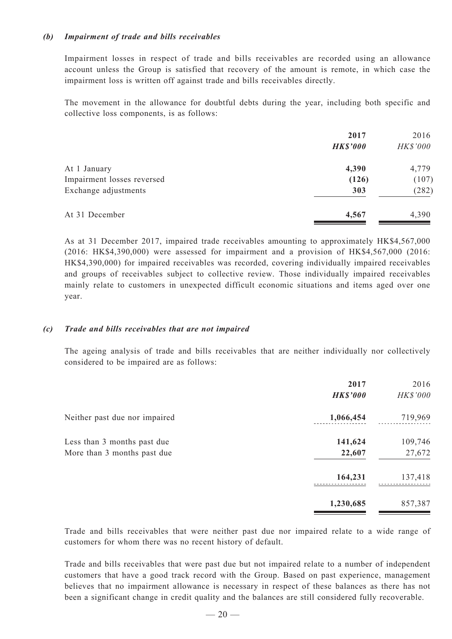### *(b) Impairment of trade and bills receivables*

Impairment losses in respect of trade and bills receivables are recorded using an allowance account unless the Group is satisfied that recovery of the amount is remote, in which case the impairment loss is written off against trade and bills receivables directly.

The movement in the allowance for doubtful debts during the year, including both specific and collective loss components, is as follows:

|                            | 2017            | 2016     |
|----------------------------|-----------------|----------|
|                            | <b>HK\$'000</b> | HK\$'000 |
| At 1 January               | 4,390           | 4,779    |
| Impairment losses reversed | (126)           | (107)    |
| Exchange adjustments       | 303             | (282)    |
| At 31 December             | 4,567           | 4,390    |

As at 31 December 2017, impaired trade receivables amounting to approximately HK\$4,567,000 (2016: HK\$4,390,000) were assessed for impairment and a provision of HK\$4,567,000 (2016: HK\$4,390,000) for impaired receivables was recorded, covering individually impaired receivables and groups of receivables subject to collective review. Those individually impaired receivables mainly relate to customers in unexpected difficult economic situations and items aged over one year.

### *(c) Trade and bills receivables that are not impaired*

The ageing analysis of trade and bills receivables that are neither individually nor collectively considered to be impaired are as follows:

|                                                            | 2017<br><b>HK\$'000</b> | 2016<br>HK\$'000  |
|------------------------------------------------------------|-------------------------|-------------------|
| Neither past due nor impaired                              | 1,066,454               | 719,969           |
| Less than 3 months past due<br>More than 3 months past due | 141,624<br>22,607       | 109,746<br>27,672 |
|                                                            | 164,231                 | 137,418           |
|                                                            | 1,230,685               | 857,387           |

Trade and bills receivables that were neither past due nor impaired relate to a wide range of customers for whom there was no recent history of default.

Trade and bills receivables that were past due but not impaired relate to a number of independent customers that have a good track record with the Group. Based on past experience, management believes that no impairment allowance is necessary in respect of these balances as there has not been a significant change in credit quality and the balances are still considered fully recoverable.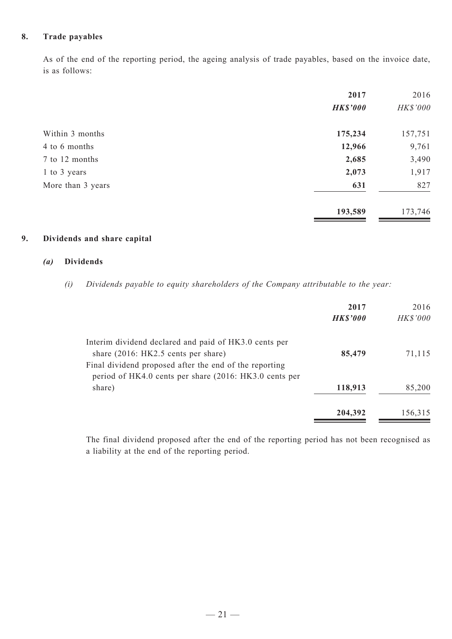### **8. Trade payables**

As of the end of the reporting period, the ageing analysis of trade payables, based on the invoice date, is as follows:

|                   | 2017            | 2016     |
|-------------------|-----------------|----------|
|                   | <b>HK\$'000</b> | HK\$'000 |
| Within 3 months   | 175,234         | 157,751  |
| 4 to 6 months     | 12,966          | 9,761    |
| 7 to 12 months    | 2,685           | 3,490    |
| 1 to 3 years      | 2,073           | 1,917    |
| More than 3 years | 631             | 827      |
|                   | 193,589         | 173,746  |

### **9. Dividends and share capital**

#### *(a)* **Dividends**

*(i) Dividends payable to equity shareholders of the Company attributable to the year:*

|                                                        | 2017            | 2016            |
|--------------------------------------------------------|-----------------|-----------------|
|                                                        | <b>HK\$'000</b> | <b>HK\$'000</b> |
| Interim dividend declared and paid of HK3.0 cents per  |                 |                 |
| share $(2016: HK2.5 \text{ cents per share})$          | 85,479          | 71,115          |
| Final dividend proposed after the end of the reporting |                 |                 |
| period of HK4.0 cents per share (2016: HK3.0 cents per |                 |                 |
| share)                                                 | 118,913         | 85,200          |
|                                                        | 204,392         | 156,315         |

The final dividend proposed after the end of the reporting period has not been recognised as a liability at the end of the reporting period.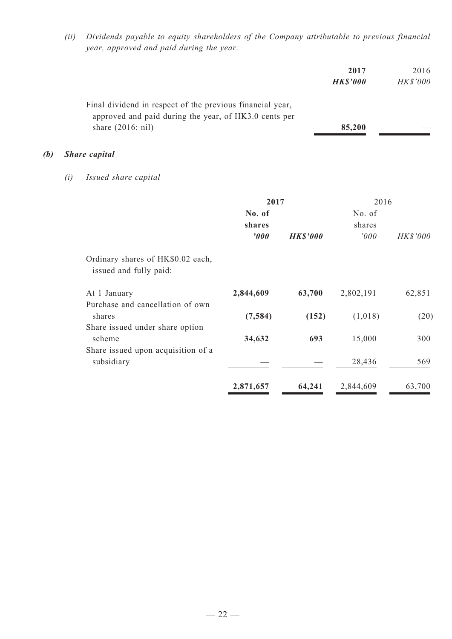*(ii) Dividends payable to equity shareholders of the Company attributable to previous financial year, approved and paid during the year:*

|     |     |                                                                                                                                                  |           |                 | 2017<br><b>HK\$'000</b> | 2016<br>HK\$'000 |
|-----|-----|--------------------------------------------------------------------------------------------------------------------------------------------------|-----------|-----------------|-------------------------|------------------|
|     |     | Final dividend in respect of the previous financial year,<br>approved and paid during the year, of HK3.0 cents per<br>share $(2016: \text{nil})$ |           |                 | 85,200                  |                  |
| (b) |     | <b>Share</b> capital                                                                                                                             |           |                 |                         |                  |
|     | (i) | Issued share capital                                                                                                                             |           |                 |                         |                  |
|     |     |                                                                                                                                                  | 2017      |                 |                         | 2016             |
|     |     |                                                                                                                                                  | No. of    |                 | No. of                  |                  |
|     |     |                                                                                                                                                  | shares    |                 | shares                  |                  |
|     |     |                                                                                                                                                  | '000      | <b>HK\$'000</b> | '000                    | HK\$'000         |
|     |     | Ordinary shares of HK\$0.02 each,<br>issued and fully paid:                                                                                      |           |                 |                         |                  |
|     |     | At 1 January                                                                                                                                     | 2,844,609 | 63,700          | 2,802,191               | 62,851           |

| At 1 January                                     | 2,844,609 | 63,700 | 2,802,191 | 62,851 |
|--------------------------------------------------|-----------|--------|-----------|--------|
| Purchase and cancellation of own                 |           |        |           |        |
| shares                                           | (7, 584)  | (152)  | (1,018)   | (20)   |
| Share issued under share option<br>scheme        | 34,632    | 693    | 15,000    | 300    |
| Share issued upon acquisition of a<br>subsidiary |           |        | 28,436    | 569    |
|                                                  | 2,871,657 | 64,241 | 2,844,609 | 63,700 |
|                                                  |           |        |           |        |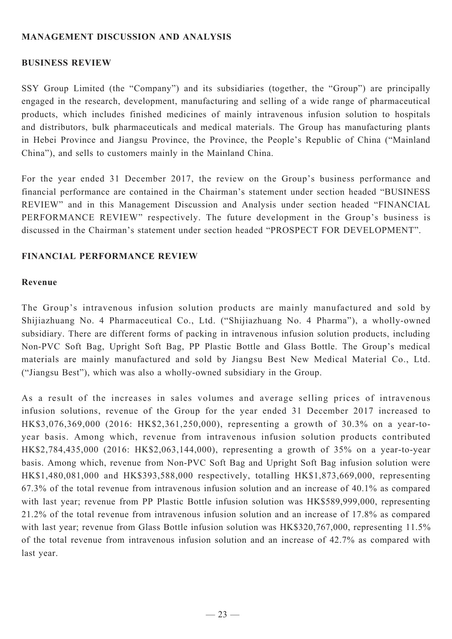# **MANAGEMENT DISCUSSION AND ANALYSIS**

### **BUSINESS REVIEW**

SSY Group Limited (the "Company") and its subsidiaries (together, the "Group") are principally engaged in the research, development, manufacturing and selling of a wide range of pharmaceutical products, which includes finished medicines of mainly intravenous infusion solution to hospitals and distributors, bulk pharmaceuticals and medical materials. The Group has manufacturing plants in Hebei Province and Jiangsu Province, the Province, the People's Republic of China ("Mainland China"), and sells to customers mainly in the Mainland China.

For the year ended 31 December 2017, the review on the Group's business performance and financial performance are contained in the Chairman's statement under section headed "BUSINESS REVIEW" and in this Management Discussion and Analysis under section headed "FINANCIAL PERFORMANCE REVIEW" respectively. The future development in the Group's business is discussed in the Chairman's statement under section headed "PROSPECT FOR DEVELOPMENT".

### **Financial performance review**

### **Revenue**

The Group's intravenous infusion solution products are mainly manufactured and sold by Shijiazhuang No. 4 Pharmaceutical Co., Ltd. ("Shijiazhuang No. 4 Pharma"), a wholly-owned subsidiary. There are different forms of packing in intravenous infusion solution products, including Non-PVC Soft Bag, Upright Soft Bag, PP Plastic Bottle and Glass Bottle. The Group's medical materials are mainly manufactured and sold by Jiangsu Best New Medical Material Co., Ltd. ("Jiangsu Best"), which was also a wholly-owned subsidiary in the Group.

As a result of the increases in sales volumes and average selling prices of intravenous infusion solutions, revenue of the Group for the year ended 31 December 2017 increased to HK\$3,076,369,000 (2016: HK\$2,361,250,000), representing a growth of 30.3% on a year-toyear basis. Among which, revenue from intravenous infusion solution products contributed HK\$2,784,435,000 (2016: HK\$2,063,144,000), representing a growth of 35% on a year-to-year basis. Among which, revenue from Non-PVC Soft Bag and Upright Soft Bag infusion solution were HK\$1,480,081,000 and HK\$393,588,000 respectively, totalling HK\$1,873,669,000, representing 67.3% of the total revenue from intravenous infusion solution and an increase of 40.1% as compared with last year; revenue from PP Plastic Bottle infusion solution was HK\$589,999,000, representing 21.2% of the total revenue from intravenous infusion solution and an increase of 17.8% as compared with last year; revenue from Glass Bottle infusion solution was HK\$320,767,000, representing 11.5% of the total revenue from intravenous infusion solution and an increase of 42.7% as compared with last year.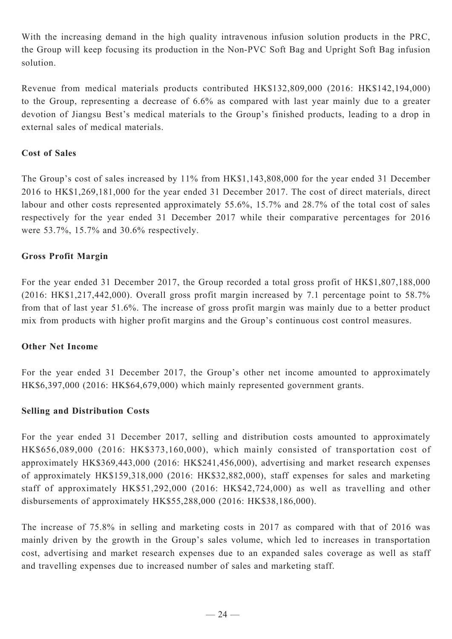With the increasing demand in the high quality intravenous infusion solution products in the PRC, the Group will keep focusing its production in the Non-PVC Soft Bag and Upright Soft Bag infusion solution.

Revenue from medical materials products contributed HK\$132,809,000 (2016: HK\$142,194,000) to the Group, representing a decrease of 6.6% as compared with last year mainly due to a greater devotion of Jiangsu Best's medical materials to the Group's finished products, leading to a drop in external sales of medical materials.

## **Cost of Sales**

The Group's cost of sales increased by 11% from HK\$1,143,808,000 for the year ended 31 December 2016 to HK\$1,269,181,000 for the year ended 31 December 2017. The cost of direct materials, direct labour and other costs represented approximately 55.6%, 15.7% and 28.7% of the total cost of sales respectively for the year ended 31 December 2017 while their comparative percentages for 2016 were 53.7%, 15.7% and 30.6% respectively.

# **Gross Profit Margin**

For the year ended 31 December 2017, the Group recorded a total gross profit of HK\$1,807,188,000 (2016: HK\$1,217,442,000). Overall gross profit margin increased by 7.1 percentage point to 58.7% from that of last year 51.6%. The increase of gross profit margin was mainly due to a better product mix from products with higher profit margins and the Group's continuous cost control measures.

### **Other Net Income**

For the year ended 31 December 2017, the Group's other net income amounted to approximately HK\$6,397,000 (2016: HK\$64,679,000) which mainly represented government grants.

# **Selling and Distribution Costs**

For the year ended 31 December 2017, selling and distribution costs amounted to approximately HK\$656,089,000 (2016: HK\$373,160,000), which mainly consisted of transportation cost of approximately HK\$369,443,000 (2016: HK\$241,456,000), advertising and market research expenses of approximately HK\$159,318,000 (2016: HK\$32,882,000), staff expenses for sales and marketing staff of approximately HK\$51,292,000 (2016: HK\$42,724,000) as well as travelling and other disbursements of approximately HK\$55,288,000 (2016: HK\$38,186,000).

The increase of 75.8% in selling and marketing costs in 2017 as compared with that of 2016 was mainly driven by the growth in the Group's sales volume, which led to increases in transportation cost, advertising and market research expenses due to an expanded sales coverage as well as staff and travelling expenses due to increased number of sales and marketing staff.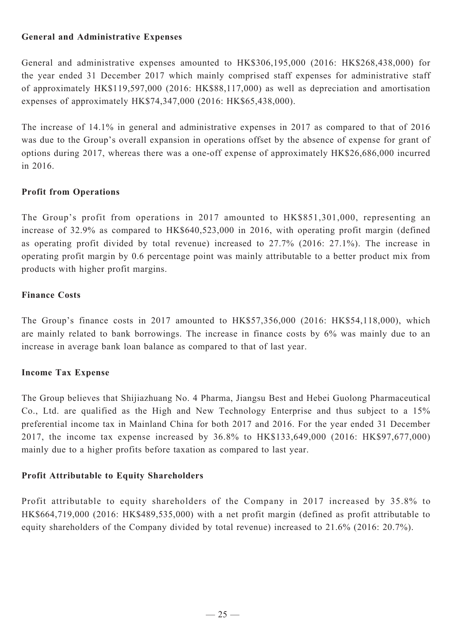# **General and Administrative Expenses**

General and administrative expenses amounted to HK\$306,195,000 (2016: HK\$268,438,000) for the year ended 31 December 2017 which mainly comprised staff expenses for administrative staff of approximately HK\$119,597,000 (2016: HK\$88,117,000) as well as depreciation and amortisation expenses of approximately HK\$74,347,000 (2016: HK\$65,438,000).

The increase of 14.1% in general and administrative expenses in 2017 as compared to that of 2016 was due to the Group's overall expansion in operations offset by the absence of expense for grant of options during 2017, whereas there was a one-off expense of approximately HK\$26,686,000 incurred in 2016.

# **Profit from Operations**

The Group's profit from operations in 2017 amounted to HK\$851,301,000, representing an increase of 32.9% as compared to HK\$640,523,000 in 2016, with operating profit margin (defined as operating profit divided by total revenue) increased to 27.7% (2016: 27.1%). The increase in operating profit margin by 0.6 percentage point was mainly attributable to a better product mix from products with higher profit margins.

### **Finance Costs**

The Group's finance costs in 2017 amounted to HK\$57,356,000 (2016: HK\$54,118,000), which are mainly related to bank borrowings. The increase in finance costs by 6% was mainly due to an increase in average bank loan balance as compared to that of last year.

# **Income Tax Expense**

The Group believes that Shijiazhuang No. 4 Pharma, Jiangsu Best and Hebei Guolong Pharmaceutical Co., Ltd. are qualified as the High and New Technology Enterprise and thus subject to a 15% preferential income tax in Mainland China for both 2017 and 2016. For the year ended 31 December 2017, the income tax expense increased by 36.8% to HK\$133,649,000 (2016: HK\$97,677,000) mainly due to a higher profits before taxation as compared to last year.

# **Profit Attributable to Equity Shareholders**

Profit attributable to equity shareholders of the Company in 2017 increased by 35.8% to HK\$664,719,000 (2016: HK\$489,535,000) with a net profit margin (defined as profit attributable to equity shareholders of the Company divided by total revenue) increased to 21.6% (2016: 20.7%).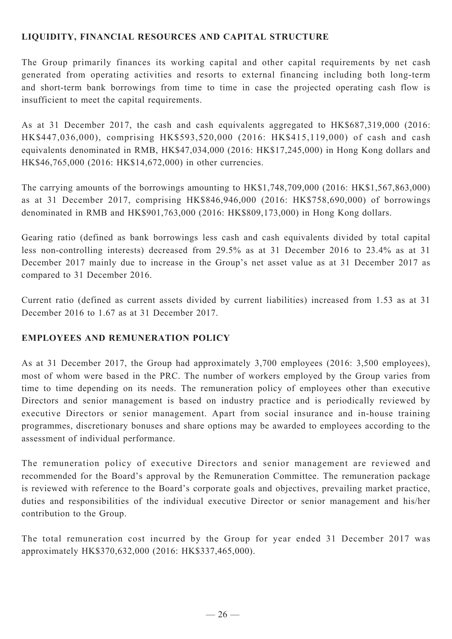# **LIQUIDITY, FINANCIAL RESOURCES and capital structure**

The Group primarily finances its working capital and other capital requirements by net cash generated from operating activities and resorts to external financing including both long-term and short-term bank borrowings from time to time in case the projected operating cash flow is insufficient to meet the capital requirements.

As at 31 December 2017, the cash and cash equivalents aggregated to HK\$687,319,000 (2016: HK\$447,036,000), comprising HK\$593,520,000 (2016: HK\$415,119,000) of cash and cash equivalents denominated in RMB, HK\$47,034,000 (2016: HK\$17,245,000) in Hong Kong dollars and HK\$46,765,000 (2016: HK\$14,672,000) in other currencies.

The carrying amounts of the borrowings amounting to HK\$1,748,709,000 (2016: HK\$1,567,863,000) as at 31 December 2017, comprising HK\$846,946,000 (2016: HK\$758,690,000) of borrowings denominated in RMB and HK\$901,763,000 (2016: HK\$809,173,000) in Hong Kong dollars.

Gearing ratio (defined as bank borrowings less cash and cash equivalents divided by total capital less non-controlling interests) decreased from 29.5% as at 31 December 2016 to 23.4% as at 31 December 2017 mainly due to increase in the Group's net asset value as at 31 December 2017 as compared to 31 December 2016.

Current ratio (defined as current assets divided by current liabilities) increased from 1.53 as at 31 December 2016 to 1.67 as at 31 December 2017.

# **EMPLOYEES AND REMUNERATION POLICY**

As at 31 December 2017, the Group had approximately 3,700 employees (2016: 3,500 employees), most of whom were based in the PRC. The number of workers employed by the Group varies from time to time depending on its needs. The remuneration policy of employees other than executive Directors and senior management is based on industry practice and is periodically reviewed by executive Directors or senior management. Apart from social insurance and in-house training programmes, discretionary bonuses and share options may be awarded to employees according to the assessment of individual performance.

The remuneration policy of executive Directors and senior management are reviewed and recommended for the Board's approval by the Remuneration Committee. The remuneration package is reviewed with reference to the Board's corporate goals and objectives, prevailing market practice, duties and responsibilities of the individual executive Director or senior management and his/her contribution to the Group.

The total remuneration cost incurred by the Group for year ended 31 December 2017 was approximately HK\$370,632,000 (2016: HK\$337,465,000).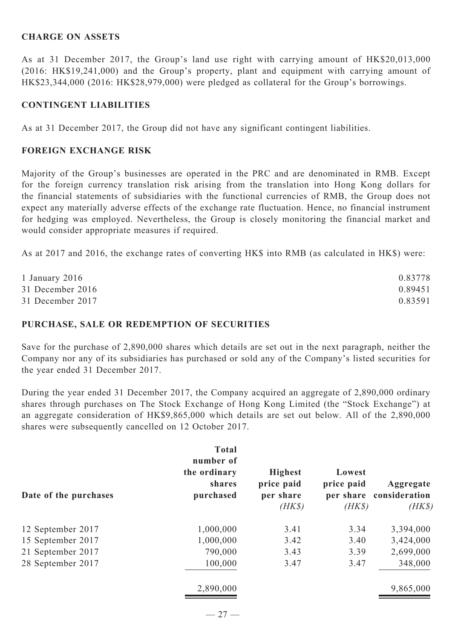### **Charge on ASSETS**

As at 31 December 2017, the Group's land use right with carrying amount of HK\$20,013,000 (2016: HK\$19,241,000) and the Group's property, plant and equipment with carrying amount of HK\$23,344,000 (2016: HK\$28,979,000) were pledged as collateral for the Group's borrowings.

# **CONTINGENT LIABILITIES**

As at 31 December 2017, the Group did not have any significant contingent liabilities.

### **FOREIGN EXCHANGE RISK**

Majority of the Group's businesses are operated in the PRC and are denominated in RMB. Except for the foreign currency translation risk arising from the translation into Hong Kong dollars for the financial statements of subsidiaries with the functional currencies of RMB, the Group does not expect any materially adverse effects of the exchange rate fluctuation. Hence, no financial instrument for hedging was employed. Nevertheless, the Group is closely monitoring the financial market and would consider appropriate measures if required.

As at 2017 and 2016, the exchange rates of converting HK\$ into RMB (as calculated in HK\$) were:

| 1 January $2016$ | 0.83778 |
|------------------|---------|
| 31 December 2016 | 0.89451 |
| 31 December 2017 | 0.83591 |

### **PURCHASE, SALE OR REDEMPTION OF SECURITIES**

Save for the purchase of 2,890,000 shares which details are set out in the next paragraph, neither the Company nor any of its subsidiaries has purchased or sold any of the Company's listed securities for the year ended 31 December 2017.

During the year ended 31 December 2017, the Company acquired an aggregate of 2,890,000 ordinary shares through purchases on The Stock Exchange of Hong Kong Limited (the "Stock Exchange") at an aggregate consideration of HK\$9,865,000 which details are set out below. All of the 2,890,000 shares were subsequently cancelled on 12 October 2017.

| <b>Total</b><br>number of<br>the ordinary<br>shares<br>purchased | <b>Highest</b><br>price paid<br>per share<br>$(HK\$ | Lowest<br>price paid<br>$(HK\$ | Aggregate<br>per share consideration<br>$(HK\$ |
|------------------------------------------------------------------|-----------------------------------------------------|--------------------------------|------------------------------------------------|
| 1,000,000                                                        | 3.41                                                | 3.34                           | 3,394,000                                      |
| 1,000,000                                                        | 3.42                                                | 3.40                           | 3,424,000                                      |
| 790,000                                                          | 3.43                                                | 3.39                           | 2,699,000                                      |
| 100,000                                                          | 3.47                                                | 3.47                           | 348,000                                        |
| 2,890,000                                                        |                                                     |                                | 9,865,000                                      |
|                                                                  |                                                     |                                |                                                |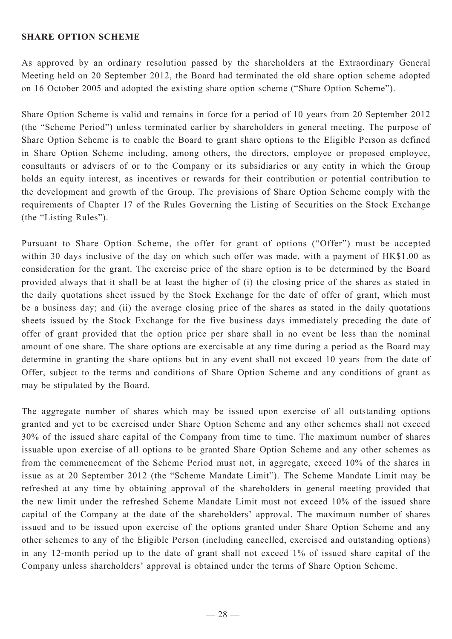### **SHARE OPTION SCHEME**

As approved by an ordinary resolution passed by the shareholders at the Extraordinary General Meeting held on 20 September 2012, the Board had terminated the old share option scheme adopted on 16 October 2005 and adopted the existing share option scheme ("Share Option Scheme").

Share Option Scheme is valid and remains in force for a period of 10 years from 20 September 2012 (the "Scheme Period") unless terminated earlier by shareholders in general meeting. The purpose of Share Option Scheme is to enable the Board to grant share options to the Eligible Person as defined in Share Option Scheme including, among others, the directors, employee or proposed employee, consultants or advisers of or to the Company or its subsidiaries or any entity in which the Group holds an equity interest, as incentives or rewards for their contribution or potential contribution to the development and growth of the Group. The provisions of Share Option Scheme comply with the requirements of Chapter 17 of the Rules Governing the Listing of Securities on the Stock Exchange (the "Listing Rules").

Pursuant to Share Option Scheme, the offer for grant of options ("Offer") must be accepted within 30 days inclusive of the day on which such offer was made, with a payment of HK\$1.00 as consideration for the grant. The exercise price of the share option is to be determined by the Board provided always that it shall be at least the higher of (i) the closing price of the shares as stated in the daily quotations sheet issued by the Stock Exchange for the date of offer of grant, which must be a business day; and (ii) the average closing price of the shares as stated in the daily quotations sheets issued by the Stock Exchange for the five business days immediately preceding the date of offer of grant provided that the option price per share shall in no event be less than the nominal amount of one share. The share options are exercisable at any time during a period as the Board may determine in granting the share options but in any event shall not exceed 10 years from the date of Offer, subject to the terms and conditions of Share Option Scheme and any conditions of grant as may be stipulated by the Board.

The aggregate number of shares which may be issued upon exercise of all outstanding options granted and yet to be exercised under Share Option Scheme and any other schemes shall not exceed 30% of the issued share capital of the Company from time to time. The maximum number of shares issuable upon exercise of all options to be granted Share Option Scheme and any other schemes as from the commencement of the Scheme Period must not, in aggregate, exceed 10% of the shares in issue as at 20 September 2012 (the "Scheme Mandate Limit"). The Scheme Mandate Limit may be refreshed at any time by obtaining approval of the shareholders in general meeting provided that the new limit under the refreshed Scheme Mandate Limit must not exceed 10% of the issued share capital of the Company at the date of the shareholders' approval. The maximum number of shares issued and to be issued upon exercise of the options granted under Share Option Scheme and any other schemes to any of the Eligible Person (including cancelled, exercised and outstanding options) in any 12-month period up to the date of grant shall not exceed 1% of issued share capital of the Company unless shareholders' approval is obtained under the terms of Share Option Scheme.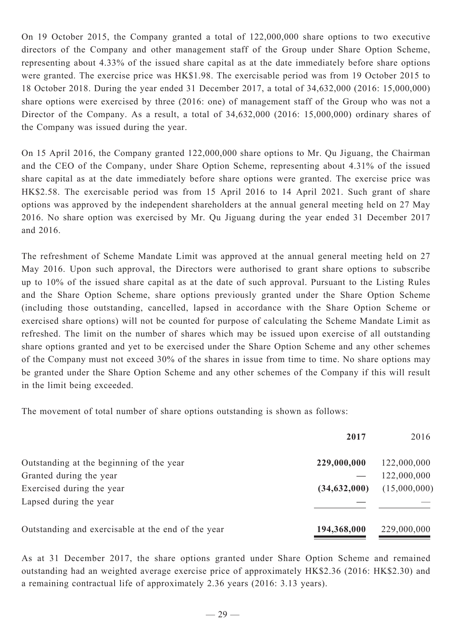On 19 October 2015, the Company granted a total of 122,000,000 share options to two executive directors of the Company and other management staff of the Group under Share Option Scheme, representing about 4.33% of the issued share capital as at the date immediately before share options were granted. The exercise price was HK\$1.98. The exercisable period was from 19 October 2015 to 18 October 2018. During the year ended 31 December 2017, a total of 34,632,000 (2016: 15,000,000) share options were exercised by three (2016: one) of management staff of the Group who was not a Director of the Company. As a result, a total of 34,632,000 (2016: 15,000,000) ordinary shares of the Company was issued during the year.

On 15 April 2016, the Company granted 122,000,000 share options to Mr. Qu Jiguang, the Chairman and the CEO of the Company, under Share Option Scheme, representing about 4.31% of the issued share capital as at the date immediately before share options were granted. The exercise price was HK\$2.58. The exercisable period was from 15 April 2016 to 14 April 2021. Such grant of share options was approved by the independent shareholders at the annual general meeting held on 27 May 2016. No share option was exercised by Mr. Qu Jiguang during the year ended 31 December 2017 and 2016.

The refreshment of Scheme Mandate Limit was approved at the annual general meeting held on 27 May 2016. Upon such approval, the Directors were authorised to grant share options to subscribe up to 10% of the issued share capital as at the date of such approval. Pursuant to the Listing Rules and the Share Option Scheme, share options previously granted under the Share Option Scheme (including those outstanding, cancelled, lapsed in accordance with the Share Option Scheme or exercised share options) will not be counted for purpose of calculating the Scheme Mandate Limit as refreshed. The limit on the number of shares which may be issued upon exercise of all outstanding share options granted and yet to be exercised under the Share Option Scheme and any other schemes of the Company must not exceed 30% of the shares in issue from time to time. No share options may be granted under the Share Option Scheme and any other schemes of the Company if this will result in the limit being exceeded.

The movement of total number of share options outstanding is shown as follows:

|                                                    | 2017           | 2016         |
|----------------------------------------------------|----------------|--------------|
| Outstanding at the beginning of the year           | 229,000,000    | 122,000,000  |
| Granted during the year                            |                | 122,000,000  |
| Exercised during the year                          | (34, 632, 000) | (15,000,000) |
| Lapsed during the year                             |                |              |
| Outstanding and exercisable at the end of the year | 194,368,000    | 229,000,000  |

As at 31 December 2017, the share options granted under Share Option Scheme and remained outstanding had an weighted average exercise price of approximately HK\$2.36 (2016: HK\$2.30) and a remaining contractual life of approximately 2.36 years (2016: 3.13 years).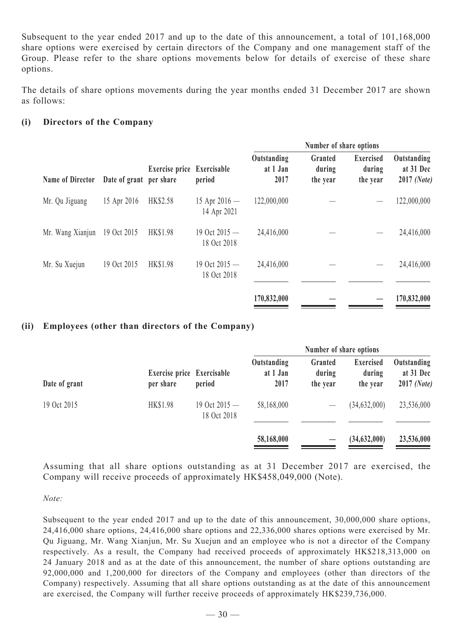Subsequent to the year ended 2017 and up to the date of this announcement, a total of 101,168,000 share options were exercised by certain directors of the Company and one management staff of the Group. Please refer to the share options movements below for details of exercise of these share options.

The details of share options movements during the year months ended 31 December 2017 are shown as follows:

### **(i) Directors of the Company**

| <b>Name of Director</b> | Date of grant per share | Exercise price Exercisable | period                         | Number of share options         |                               |                                        |                                         |
|-------------------------|-------------------------|----------------------------|--------------------------------|---------------------------------|-------------------------------|----------------------------------------|-----------------------------------------|
|                         |                         |                            |                                | Outstanding<br>at 1 Jan<br>2017 | Granted<br>during<br>the year | <b>Exercised</b><br>during<br>the year | Outstanding<br>at 31 Dec<br>2017 (Note) |
| Mr. Qu Jiguang          | 15 Apr 2016             | HK\$2.58                   | 15 Apr $2016 -$<br>14 Apr 2021 | 122,000,000                     |                               |                                        | 122,000,000                             |
| Mr. Wang Xianjun        | 19 Oct 2015             | <b>HK\$1.98</b>            | 19 Oct 2015 -<br>18 Oct 2018   | 24,416,000                      |                               |                                        | 24,416,000                              |
| Mr. Su Xuejun           | 19 Oct 2015             | <b>HK\$1.98</b>            | 19 Oct $2015 -$<br>18 Oct 2018 | 24,416,000                      |                               |                                        | 24,416,000                              |
|                         |                         |                            |                                | 170,832,000                     |                               |                                        | 170,832,000                             |

### **(ii) Employees (other than directors of the Company)**

|               | Exercise price Exercisable<br>per share | period                         | Number of share options         |                               |                                        |                                         |
|---------------|-----------------------------------------|--------------------------------|---------------------------------|-------------------------------|----------------------------------------|-----------------------------------------|
| Date of grant |                                         |                                | Outstanding<br>at 1 Jan<br>2017 | Granted<br>during<br>the year | <b>Exercised</b><br>during<br>the year | Outstanding<br>at 31 Dec<br>2017 (Note) |
| 19 Oct 2015   | <b>HK\$1.98</b>                         | 19 Oct $2015 -$<br>18 Oct 2018 | 58,168,000                      |                               | (34, 632, 000)                         | 23,536,000                              |
|               |                                         |                                | 58,168,000                      |                               | (34,632,000)                           | 23,536,000                              |

Assuming that all share options outstanding as at 31 December 2017 are exercised, the Company will receive proceeds of approximately HK\$458,049,000 (Note).

*Note:*

Subsequent to the year ended 2017 and up to the date of this announcement, 30,000,000 share options, 24,416,000 share options, 24,416,000 share options and 22,336,000 shares options were exercised by Mr. Qu Jiguang, Mr. Wang Xianjun, Mr. Su Xuejun and an employee who is not a director of the Company respectively. As a result, the Company had received proceeds of approximately HK\$218,313,000 on 24 January 2018 and as at the date of this announcement, the number of share options outstanding are 92,000,000 and 1,200,000 for directors of the Company and employees (other than directors of the Company) respectively. Assuming that all share options outstanding as at the date of this announcement are exercised, the Company will further receive proceeds of approximately HK\$239,736,000.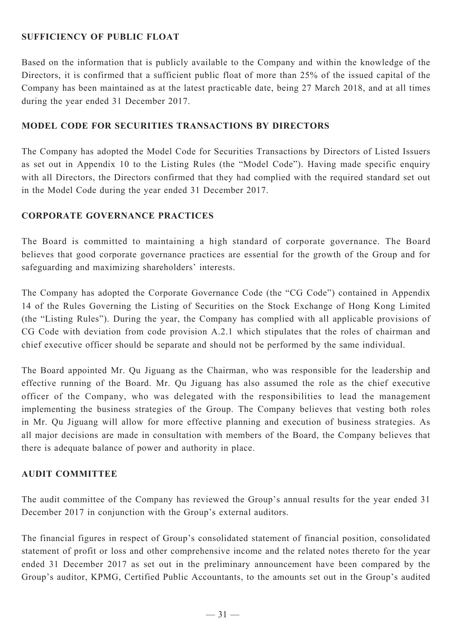# **SUFFICIENCY OF PUBLIC FLOAT**

Based on the information that is publicly available to the Company and within the knowledge of the Directors, it is confirmed that a sufficient public float of more than 25% of the issued capital of the Company has been maintained as at the latest practicable date, being 27 March 2018, and at all times during the year ended 31 December 2017.

### **Model Code for Securities Transactions by Directors**

The Company has adopted the Model Code for Securities Transactions by Directors of Listed Issuers as set out in Appendix 10 to the Listing Rules (the "Model Code"). Having made specific enquiry with all Directors, the Directors confirmed that they had complied with the required standard set out in the Model Code during the year ended 31 December 2017.

### **Corporate Governance Practices**

The Board is committed to maintaining a high standard of corporate governance. The Board believes that good corporate governance practices are essential for the growth of the Group and for safeguarding and maximizing shareholders' interests.

The Company has adopted the Corporate Governance Code (the "CG Code") contained in Appendix 14 of the Rules Governing the Listing of Securities on the Stock Exchange of Hong Kong Limited (the "Listing Rules"). During the year, the Company has complied with all applicable provisions of CG Code with deviation from code provision A.2.1 which stipulates that the roles of chairman and chief executive officer should be separate and should not be performed by the same individual.

The Board appointed Mr. Qu Jiguang as the Chairman, who was responsible for the leadership and effective running of the Board. Mr. Qu Jiguang has also assumed the role as the chief executive officer of the Company, who was delegated with the responsibilities to lead the management implementing the business strategies of the Group. The Company believes that vesting both roles in Mr. Qu Jiguang will allow for more effective planning and execution of business strategies. As all major decisions are made in consultation with members of the Board, the Company believes that there is adequate balance of power and authority in place.

### **AUDIT COMMITTEE**

The audit committee of the Company has reviewed the Group's annual results for the year ended 31 December 2017 in conjunction with the Group's external auditors.

The financial figures in respect of Group's consolidated statement of financial position, consolidated statement of profit or loss and other comprehensive income and the related notes thereto for the year ended 31 December 2017 as set out in the preliminary announcement have been compared by the Group's auditor, KPMG, Certified Public Accountants, to the amounts set out in the Group's audited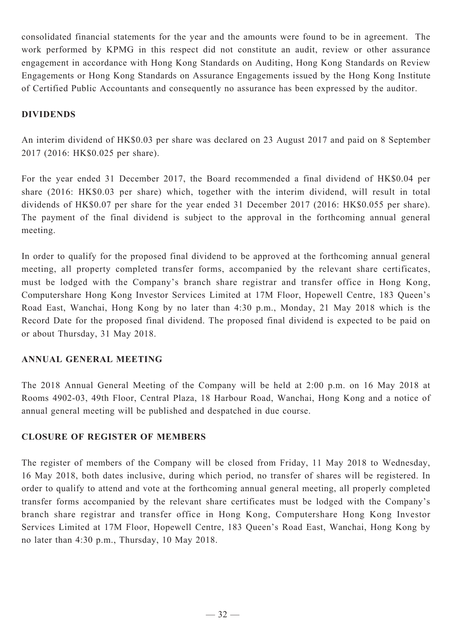consolidated financial statements for the year and the amounts were found to be in agreement. The work performed by KPMG in this respect did not constitute an audit, review or other assurance engagement in accordance with Hong Kong Standards on Auditing, Hong Kong Standards on Review Engagements or Hong Kong Standards on Assurance Engagements issued by the Hong Kong Institute of Certified Public Accountants and consequently no assurance has been expressed by the auditor.

# **DIVIDENDS**

An interim dividend of HK\$0.03 per share was declared on 23 August 2017 and paid on 8 September 2017 (2016: HK\$0.025 per share).

For the year ended 31 December 2017, the Board recommended a final dividend of HK\$0.04 per share (2016: HK\$0.03 per share) which, together with the interim dividend, will result in total dividends of HK\$0.07 per share for the year ended 31 December 2017 (2016: HK\$0.055 per share). The payment of the final dividend is subject to the approval in the forthcoming annual general meeting.

In order to qualify for the proposed final dividend to be approved at the forthcoming annual general meeting, all property completed transfer forms, accompanied by the relevant share certificates, must be lodged with the Company's branch share registrar and transfer office in Hong Kong, Computershare Hong Kong Investor Services Limited at 17M Floor, Hopewell Centre, 183 Queen's Road East, Wanchai, Hong Kong by no later than 4:30 p.m., Monday, 21 May 2018 which is the Record Date for the proposed final dividend. The proposed final dividend is expected to be paid on or about Thursday, 31 May 2018.

### **ANNUAL GENERAL MEETING**

The 2018 Annual General Meeting of the Company will be held at 2:00 p.m. on 16 May 2018 at Rooms 4902-03, 49th Floor, Central Plaza, 18 Harbour Road, Wanchai, Hong Kong and a notice of annual general meeting will be published and despatched in due course.

### **CLOSURE OF REGISTER OF MEMBERS**

The register of members of the Company will be closed from Friday, 11 May 2018 to Wednesday, 16 May 2018, both dates inclusive, during which period, no transfer of shares will be registered. In order to qualify to attend and vote at the forthcoming annual general meeting, all properly completed transfer forms accompanied by the relevant share certificates must be lodged with the Company's branch share registrar and transfer office in Hong Kong, Computershare Hong Kong Investor Services Limited at 17M Floor, Hopewell Centre, 183 Queen's Road East, Wanchai, Hong Kong by no later than 4:30 p.m., Thursday, 10 May 2018.